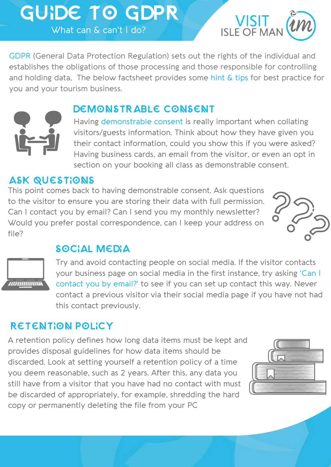# GUIDE TO GDPR What can & can't I do?



GDPR (General Data Protection Regulation) sets out the rights of the individual and establishes the obligations of those processing and those responsible for controlling and holding data, The below factsheet provides some hint & tips for best practice for you and your tourism business.



## DEMONSTRABLE CONSENT

Having demonstrable consent is really important when collating visitors/guests information. Think about how they have given you their contact information, could you show this if you were asked? Having business cards, an email from the visitor, or even an opt in section on your booking all class as demonstrable consent.

#### ASK QUESTIONS

This point comes back to having demonstrable consent. Ask questions to the visitor to ensure you are storing their data with full permission. Can I contact you by email? Can I send you my monthly newsletter? Would you prefer postal correspondence, can I keep your address on file?



## SOCIAL MEDIA



Try and avoid contacting people on social media. If the visitor contacts your business page on social media in the first instance, try asking 'Can I contact you by email?' to see if you can set up contact this way. Never contact a previous visitor via their social media page if you have not had this contact previously.

## RETENTION POLICY

A retention policy defines how long data items must be kept and provides disposal guidelines for how data items should be discarded. Look at setting yourself a retention policy of a time you deem reasonable, such as 2 years. After this, any data you still have from a visitor that you have had no contact with must be discarded of appropriately, for example, shredding the hard copy or permanently deleting the file from your PC